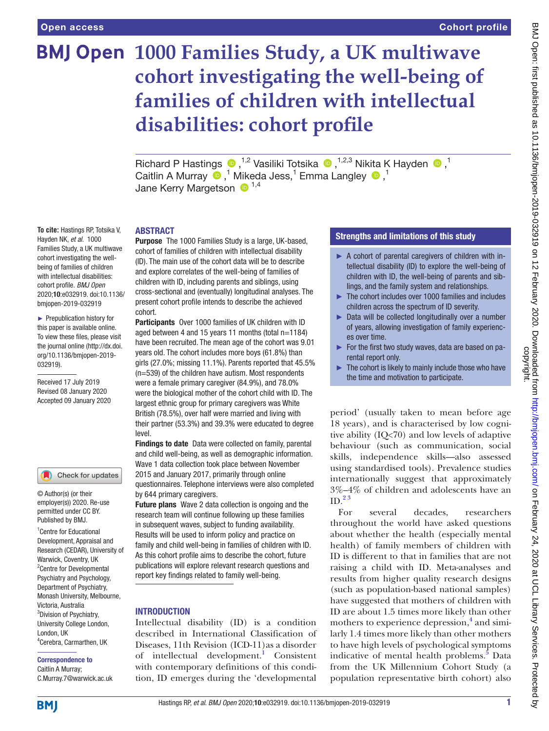**To cite:** Hastings RP, Totsika V, Hayden NK, *et al*. 1000 Families Study, a UK multiwave cohort investigating the wellbeing of families of children with intellectual disabilities: cohort profile. *BMJ Open* 2020;10:e032919. doi:10.1136/ bmjopen-2019-032919 ► Prepublication history for this paper is available online. To view these files, please visit the journal online (http://dx.doi. org/10.1136/bmjopen-2019-

032919).

Received 17 July 2019 Revised 08 January 2020 Accepted 09 January 2020

<sup>1</sup> Centre for Educational Development, Appraisal and Research (CEDAR), University of Warwick, Coventry, UK <sup>2</sup> Centre for Developmental Psychiatry and Psychology, Department of Psychiatry, Monash University, Melbourne,

© Author(s) (or their employer(s)) 2020. Re-use permitted under CC BY. Published by BMJ.

Check for updates

Victoria, Australia <sup>3</sup>Division of Psychiatry, University College London,

4 Cerebra, Carmarthen, UK

Correspondence to Caitlin A Murray; C.Murray.7@warwick.ac.uk

London, UK

# **BMJ Open 1000 Families Study, a UK multiwave cohort investigating the well-being of families of children with intellectual disabilities: cohort profile**

RichardP Hastings  $\bullet$ ,<sup>1,2</sup> Vasiliki Totsika  $\bullet$ ,<sup>1,2,3</sup> Nikita K Hayden  $\bullet$ ,<sup>1</sup> CaitlinA Murray  $\bigcirc$ ,<sup>1</sup> Mikeda Jess,<sup>1</sup> Emma Langley  $\bigcirc$ ,<sup>1</sup> Jane Kerry Margetson  $\bullet$ <sup>1,4</sup>

#### ABSTRACT

Purpose The 1000 Families Study is a large, UK-based. cohort of families of children with intellectual disability (ID). The main use of the cohort data will be to describe and explore correlates of the well-being of families of children with ID, including parents and siblings, using cross-sectional and (eventually) longitudinal analyses. The present cohort profile intends to describe the achieved cohort.

Participants Over 1000 families of UK children with ID aged between 4 and 15 years 11 months (total n=1184) have been recruited. The mean age of the cohort was 9.01 years old. The cohort includes more boys (61.8%) than girls (27.0%; missing 11.1%). Parents reported that 45.5% (n=539) of the children have autism. Most respondents were a female primary caregiver (84.9%), and 78.0% were the biological mother of the cohort child with ID. The largest ethnic group for primary caregivers was White British (78.5%), over half were married and living with their partner (53.3%) and 39.3% were educated to degree level.

Findings to date Data were collected on family, parental and child well-being, as well as demographic information. Wave 1 data collection took place between November 2015 and January 2017, primarily through online questionnaires. Telephone interviews were also completed by 644 primary caregivers.

Future plans Wave 2 data collection is ongoing and the research team will continue following up these families in subsequent waves, subject to funding availability. Results will be used to inform policy and practice on family and child well-being in families of children with ID. As this cohort profile aims to describe the cohort, future publications will explore relevant research questions and report key findings related to family well-being.

#### **INTRODUCTION**

Intellectual disability (ID) is a condition described in International Classification of Diseases, 11th Revision (ICD-11)as a disorder of intellectual development.<sup>[1](#page-8-0)</sup> Consistent with contemporary definitions of this condition, ID emerges during the 'developmental

#### Strengths and limitations of this study

- ► A cohort of parental caregivers of children with intellectual disability (ID) to explore the well-being of children with ID, the well-being of parents and siblings, and the family system and relationships.
- ► The cohort includes over 1000 families and includes children across the spectrum of ID severity.
- ► Data will be collected longitudinally over a number of years, allowing investigation of family experiences over time.
- ► For the first two study waves, data are based on parental report only.
- $\blacktriangleright$  The cohort is likely to mainly include those who have the time and motivation to participate.

period' (usually taken to mean before age 18 years), and is characterised by low cognitive ability (IQ<70) and low levels of adaptive behaviour (such as communication, social skills, independence skills—also assessed using standardised tools). Prevalence studies internationally suggest that approximately 3%–4% of children and adolescents have an  $ID.<sup>23</sup>$ 

For several decades, researchers throughout the world have asked questions about whether the health (especially mental health) of family members of children with ID is different to that in families that are not raising a child with ID. Meta-analyses and results from higher quality research designs (such as population-based national samples) have suggested that mothers of children with ID are about 1.5 times more likely than other mothers to experience depression,<sup>4</sup> and similarly 1.4 times more likely than other mothers to have high levels of psychological symptoms indicative of mental health problems.<sup>5</sup> Data from the UK Millennium Cohort Study (a population representative birth cohort) also

**BMI**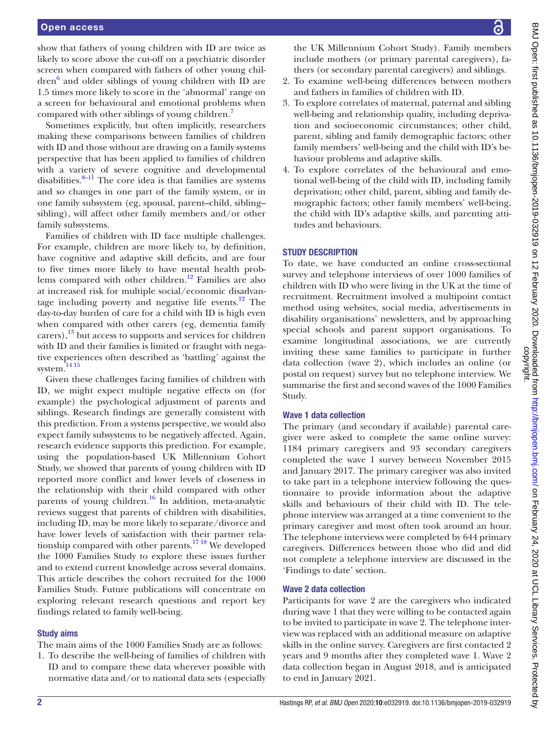#### Open access

show that fathers of young children with ID are twice as likely to score above the cut-off on a psychiatric disorder screen when compared with fathers of other young children<sup>6</sup> and older siblings of young children with ID are 1.5 times more likely to score in the 'abnormal' range on a screen for behavioural and emotional problems when compared with other siblings of young children.

Sometimes explicitly, but often implicitly, researchers making these comparisons between families of children with ID and those without are drawing on a family systems perspective that has been applied to families of children with a variety of severe cognitive and developmental  $\frac{8-11}{100}$  The core idea is that families are systems and so changes in one part of the family system, or in one family subsystem (eg, spousal, parent–child, sibling– sibling), will affect other family members and/or other family subsystems.

Families of children with ID face multiple challenges. For example, children are more likely to, by definition, have cognitive and adaptive skill deficits, and are four to five times more likely to have mental health problems compared with other children. $12$  Families are also at increased risk for multiple social/economic disadvantage including poverty and negative life events. $12$  The day-to-day burden of care for a child with ID is high even when compared with other carers (eg, dementia family carers), $^{13}$  but access to supports and services for children with ID and their families is limited or fraught with negative experiences often described as 'battling' against the system.<sup>14 15</sup>

Given these challenges facing families of children with ID, we might expect multiple negative effects on (for example) the psychological adjustment of parents and siblings. Research findings are generally consistent with this prediction. From a systems perspective, we would also expect family subsystems to be negatively affected. Again, research evidence supports this prediction. For example, using the population-based UK Millennium Cohort Study, we showed that parents of young children with ID reported more conflict and lower levels of closeness in the relationship with their child compared with other parents of young children.<sup>16</sup> In addition, meta-analytic reviews suggest that parents of children with disabilities, including ID, may be more likely to separate/divorce and have lower levels of satisfaction with their partner relationship compared with other parents.<sup>1718</sup> We developed the 1000 Families Study to explore these issues further and to extend current knowledge across several domains. This article describes the cohort recruited for the 1000 Families Study. Future publications will concentrate on exploring relevant research questions and report key findings related to family well-being.

#### Study aims

The main aims of the 1000 Families Study are as follows:

1. To describe the well-being of families of children with ID and to compare these data wherever possible with normative data and/or to national data sets (especially

the UK Millennium Cohort Study). Family members include mothers (or primary parental caregivers), fathers (or secondary parental caregivers) and siblings.

- 2. To examine well-being differences between mothers and fathers in families of children with ID.
- 3. To explore correlates of maternal, paternal and sibling well-being and relationship quality, including deprivation and socioeconomic circumstances; other child, parent, sibling and family demographic factors; other family members' well-being and the child with ID's behaviour problems and adaptive skills.
- 4. To explore correlates of the behavioural and emotional well-being of the child with ID, including family deprivation; other child, parent, sibling and family demographic factors; other family members' well-being, the child with ID's adaptive skills, and parenting attitudes and behaviours.

#### STUDY DESCRIPTION

To date, we have conducted an online cross-sectional survey and telephone interviews of over 1000 families of children with ID who were living in the UK at the time of recruitment. Recruitment involved a multipoint contact method using websites, social media, advertisements in disability organisations' newsletters, and by approaching special schools and parent support organisations. To examine longitudinal associations, we are currently inviting these same families to participate in further data collection (wave 2), which includes an online (or postal on request) survey but no telephone interview. We summarise the first and second waves of the 1000 Families Study.

#### Wave 1 data collection

The primary (and secondary if available) parental caregiver were asked to complete the same online survey: 1184 primary caregivers and 93 secondary caregivers completed the wave 1 survey between November 2015 and January 2017. The primary caregiver was also invited to take part in a telephone interview following the questionnaire to provide information about the adaptive skills and behaviours of their child with ID. The telephone interview was arranged at a time convenient to the primary caregiver and most often took around an hour. The telephone interviews were completed by 644 primary caregivers. Differences between those who did and did not complete a telephone interview are discussed in the 'Findings to date' section.

#### Wave 2 data collection

Participants for wave 2 are the caregivers who indicated during wave 1 that they were willing to be contacted again to be invited to participate in wave 2. The telephone interview was replaced with an additional measure on adaptive skills in the online survey. Caregivers are first contacted 2 years and 9 months after they completed wave 1. Wave 2 data collection began in August 2018, and is anticipated to end in January 2021.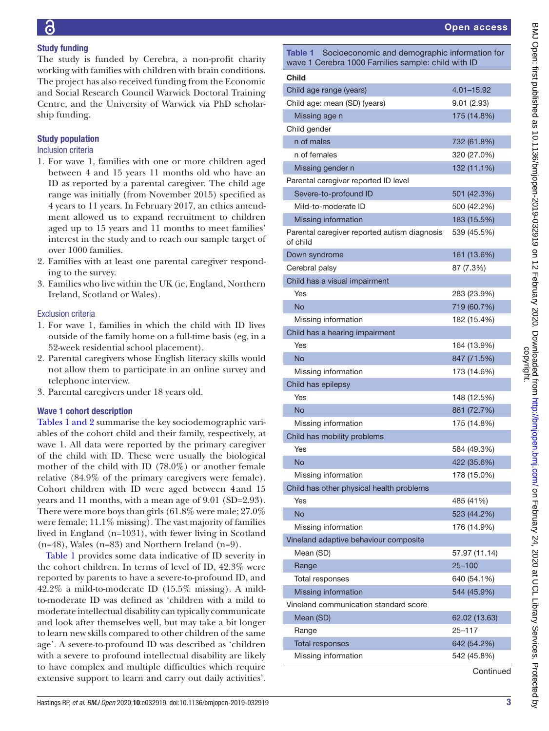## Study funding

The study is funded by Cerebra, a non-profit charity working with families with children with brain conditions. The project has also received funding from the Economic and Social Research Council Warwick Doctoral Training Centre, and the University of Warwick via PhD scholarship funding.

## Study population

## Inclusion criteria

- 1. For wave 1, families with one or more children aged between 4 and 15 years 11 months old who have an ID as reported by a parental caregiver. The child age range was initially (from November 2015) specified as 4 years to 11 years. In February 2017, an ethics amendment allowed us to expand recruitment to children aged up to 15 years and 11 months to meet families' interest in the study and to reach our sample target of over 1000 families.
- 2. Families with at least one parental caregiver responding to the survey.
- 3. Families who live within the UK (ie, England, Northern Ireland, Scotland or Wales).

## Exclusion criteria

- 1. For wave 1, families in which the child with ID lives outside of the family home on a full-time basis (eg, in a 52-week residential school placement).
- 2. Parental caregivers whose English literacy skills would not allow them to participate in an online survey and telephone interview.
- 3. Parental caregivers under 18 years old.

## Wave 1 cohort description

Tables [1 and 2](#page-2-0) summarise the key sociodemographic variables of the cohort child and their family, respectively, at wave 1. All data were reported by the primary caregiver of the child with ID. These were usually the biological mother of the child with ID (78.0%) or another female relative (84.9% of the primary caregivers were female). Cohort children with ID were aged between 4and 15 years and 11 months, with a mean age of 9.01 (SD=2.93). There were more boys than girls (61.8% were male; 27.0% were female; 11.1% missing). The vast majority of families lived in England (n=1031), with fewer living in Scotland (n=48), Wales (n=83) and Northern Ireland (n=9).

[Table](#page-2-0) 1 provides some data indicative of ID severity in the cohort children. In terms of level of ID, 42.3% were reported by parents to have a severe-to-profound ID, and 42.2% a mild-to-moderate ID (15.5% missing). A mildto-moderate ID was defined as 'children with a mild to moderate intellectual disability can typically communicate and look after themselves well, but may take a bit longer to learn new skills compared to other children of the same age'. A severe-to-profound ID was described as 'children with a severe to profound intellectual disability are likely to have complex and multiple difficulties which require extensive support to learn and carry out daily activities'.

<span id="page-2-0"></span>

| <b>Child</b>                                             |                |
|----------------------------------------------------------|----------------|
| Child age range (years)                                  | $4.01 - 15.92$ |
| Child age: mean (SD) (years)                             | 9.01(2.93)     |
| Missing age n                                            | 175 (14.8%)    |
| Child gender                                             |                |
| n of males                                               | 732 (61.8%)    |
| n of females                                             | 320 (27.0%)    |
| Missing gender n                                         | 132 (11.1%)    |
| Parental caregiver reported ID level                     |                |
| Severe-to-profound ID                                    | 501 (42.3%)    |
| Mild-to-moderate ID                                      | 500 (42.2%)    |
| Missing information                                      | 183 (15.5%)    |
| Parental caregiver reported autism diagnosis<br>of child | 539 (45.5%)    |
| Down syndrome                                            | 161 (13.6%)    |
| Cerebral palsy                                           | 87 (7.3%)      |
| Child has a visual impairment                            |                |
| Yes                                                      | 283 (23.9%)    |
| <b>No</b>                                                | 719 (60.7%)    |
| Missing information                                      | 182 (15.4%)    |
| Child has a hearing impairment                           |                |
| Yes                                                      | 164 (13.9%)    |
| No                                                       | 847 (71.5%)    |
| Missing information                                      | 173 (14.6%)    |
| Child has epilepsy                                       |                |
| Yes                                                      | 148 (12.5%)    |
| <b>No</b>                                                | 861 (72.7%)    |
| Missing information                                      | 175 (14.8%)    |
| Child has mobility problems                              |                |
| Yes                                                      | 584 (49.3%)    |
| No                                                       | 422 (35.6%)    |
| Missing information                                      | 178 (15.0%)    |
| Child has other physical health problems                 |                |
| Yes                                                      | 485 (41%)      |
| <b>No</b>                                                | 523 (44.2%)    |
| Missing information                                      | 176 (14.9%)    |
| Vineland adaptive behaviour composite                    |                |
| Mean (SD)                                                | 57.97 (11.14)  |
| Range                                                    | $25 - 100$     |
| Total responses                                          | 640 (54.1%)    |
| Missing information                                      | 544 (45.9%)    |
| Vineland communication standard score                    |                |
| Mean (SD)                                                | 62.02 (13.63)  |
| Range                                                    | 25-117         |
| Total responses                                          | 642 (54.2%)    |
| Missing information                                      | 542 (45.8%)    |
|                                                          |                |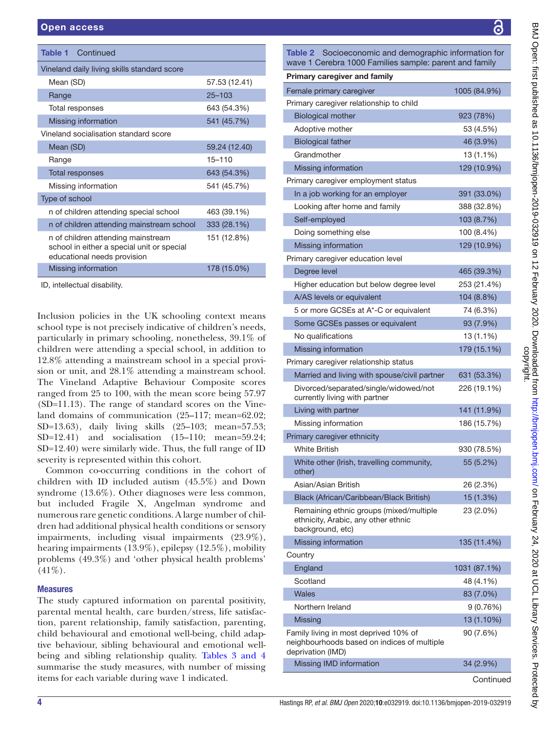| Continued<br>Table 1                                                      |               | <b>Table 2</b> Socioeconomic and demographic information for |  |  |
|---------------------------------------------------------------------------|---------------|--------------------------------------------------------------|--|--|
| Vineland daily living skills standard score                               |               | wave 1 Cerebra 1000 Families sample: parent and family       |  |  |
| Mean (SD)                                                                 | 57.53 (12.41) | <b>Primary caregiver and family</b>                          |  |  |
| Range                                                                     | $25 - 103$    | Female primary caregiver<br>1005 (84.9%)                     |  |  |
| Total responses                                                           | 643 (54.3%)   | Primary caregiver relationship to child                      |  |  |
| Missing information                                                       | 541 (45.7%)   | <b>Biological mother</b><br>923 (78%)                        |  |  |
| Vineland socialisation standard score                                     |               | 53 (4.5%)<br>Adoptive mother                                 |  |  |
| Mean (SD)                                                                 | 59.24 (12.40) | <b>Biological father</b><br>46 (3.9%)                        |  |  |
| Range                                                                     | $15 - 110$    | Grandmother<br>13 (1.1%)                                     |  |  |
| Total responses                                                           | 643 (54.3%)   | 129 (10.9%)<br>Missing information                           |  |  |
|                                                                           | 541 (45.7%)   | Primary caregiver employment status                          |  |  |
| Missing information                                                       |               | In a job working for an employer<br>391 (33.0%)              |  |  |
| Type of school                                                            |               | 388 (32.8%)<br>Looking after home and family                 |  |  |
| n of children attending special school                                    | 463 (39.1%)   | 103 (8.7%)<br>Self-employed                                  |  |  |
| n of children attending mainstream school                                 | 333 (28.1%)   | Doing something else<br>100 (8.4%)                           |  |  |
| n of children attending mainstream                                        | 151 (12.8%)   | Missing information<br>129 (10.9%)                           |  |  |
| school in either a special unit or special<br>educational needs provision |               | Primary caregiver education level                            |  |  |
| Missing information                                                       | 178 (15.0%)   |                                                              |  |  |
|                                                                           |               | Degree level<br>465 (39.3%)                                  |  |  |

ID, intellectual disability.

Inclusion policies in the UK schooling context means school type is not precisely indicative of children's needs, particularly in primary schooling, nonetheless, 39.1% of children were attending a special school, in addition to 12.8% attending a mainstream school in a special provision or unit, and 28.1% attending a mainstream school. The Vineland Adaptive Behaviour Composite scores ranged from 25 to 100, with the mean score being 57.97 (SD=11.13). The range of standard scores on the Vineland domains of communication (25–117; mean=62.02; SD=13.63), daily living skills (25–103; mean=57.53; SD=12.41) and socialisation (15–110; mean=59.24; SD=12.40) were similarly wide. Thus, the full range of ID severity is represented within this cohort.

Common co-occurring conditions in the cohort of children with ID included autism (45.5%) and Down syndrome (13.6%). Other diagnoses were less common, but included Fragile X, Angelman syndrome and numerous rare genetic conditions. A large number of children had additional physical health conditions or sensory impairments, including visual impairments (23.9%), hearing impairments (13.9%), epilepsy (12.5%), mobility problems (49.3%) and 'other physical health problems'  $(41\%)$ .

#### Measures

The study captured information on parental positivity, parental mental health, care burden/stress, life satisfaction, parent relationship, family satisfaction, parenting, child behavioural and emotional well-being, child adaptive behaviour, sibling behavioural and emotional wellbeing and sibling relationship quality. Tables [3 and 4](#page-5-0) summarise the study measures, with number of missing items for each variable during wave 1 indicated.

BMJ Open: first published as 10.1136/bmjopen-2019-032919 on 12 February 2020. Downloaded from http://bmjopen.bmj.com/ on February 24, 2020 at UCL Library Services. Protected by<br>copyright. BMJ Open: first published as 10.1136/bmjopen-2019-032919 on 12 February 2020. Downloaded from <http://bmjopen.bmj.com/> BMJ Opens: First published as 10.11136/bmjopen. Protected by

<span id="page-3-0"></span>

| Socioeconomic and demographic information for<br>Table 2<br>wave 1 Cerebra 1000 Families sample: parent and family |              |  |  |
|--------------------------------------------------------------------------------------------------------------------|--------------|--|--|
| Primary caregiver and family                                                                                       |              |  |  |
| Female primary caregiver                                                                                           | 1005 (84.9%) |  |  |
| Primary caregiver relationship to child                                                                            |              |  |  |
| <b>Biological mother</b>                                                                                           | 923 (78%)    |  |  |
| Adoptive mother                                                                                                    | 53 (4.5%)    |  |  |
| <b>Biological father</b>                                                                                           | 46 (3.9%)    |  |  |
| Grandmother                                                                                                        | 13 (1.1%)    |  |  |
| Missing information                                                                                                | 129 (10.9%)  |  |  |
| Primary caregiver employment status                                                                                |              |  |  |
| In a job working for an employer                                                                                   | 391 (33.0%)  |  |  |
| Looking after home and family                                                                                      | 388 (32.8%)  |  |  |
| Self-employed                                                                                                      | 103 (8.7%)   |  |  |
| Doing something else                                                                                               | 100 (8.4%)   |  |  |
| Missing information                                                                                                | 129 (10.9%)  |  |  |
| Primary caregiver education level                                                                                  |              |  |  |
| Degree level                                                                                                       | 465 (39.3%)  |  |  |
| Higher education but below degree level                                                                            | 253 (21.4%)  |  |  |
| A/AS levels or equivalent                                                                                          | 104 (8.8%)   |  |  |
| 5 or more GCSEs at A*-C or equivalent                                                                              | 74 (6.3%)    |  |  |
| Some GCSEs passes or equivalent                                                                                    | 93 (7.9%)    |  |  |
| No qualifications                                                                                                  | 13 (1.1%)    |  |  |
| Missing information                                                                                                | 179 (15.1%)  |  |  |
| Primary caregiver relationship status                                                                              |              |  |  |
| Married and living with spouse/civil partner                                                                       | 631 (53.3%)  |  |  |
| Divorced/separated/single/widowed/not<br>currently living with partner                                             | 226 (19.1%)  |  |  |
| Living with partner                                                                                                | 141 (11.9%)  |  |  |
| Missing information                                                                                                | 186 (15.7%)  |  |  |
| Primary caregiver ethnicity                                                                                        |              |  |  |
| <b>White British</b>                                                                                               | 930 (78.5%)  |  |  |
| White other (Irish, travelling community,<br>other)                                                                | 55 (5.2%)    |  |  |
| Asian/Asian British                                                                                                | 26 (2.3%)    |  |  |
| Black (African/Caribbean/Black British)                                                                            | 15 (1.3%)    |  |  |
| Remaining ethnic groups (mixed/multiple<br>ethnicity, Arabic, any other ethnic<br>background, etc)                 | 23 (2.0%)    |  |  |
| Missing information                                                                                                | 135 (11.4%)  |  |  |
| Country                                                                                                            |              |  |  |
| England                                                                                                            | 1031 (87.1%) |  |  |
| Scotland                                                                                                           | 48 (4.1%)    |  |  |
| <b>Wales</b>                                                                                                       | 83 (7.0%)    |  |  |
| Northern Ireland                                                                                                   | 9(0.76%)     |  |  |
| Missing                                                                                                            | 13 (1.10%)   |  |  |
| Family living in most deprived 10% of<br>neighbourhoods based on indices of multiple<br>deprivation (IMD)          | 90 (7.6%)    |  |  |
| Missing IMD information                                                                                            | 34 (2.9%)    |  |  |

**Continued**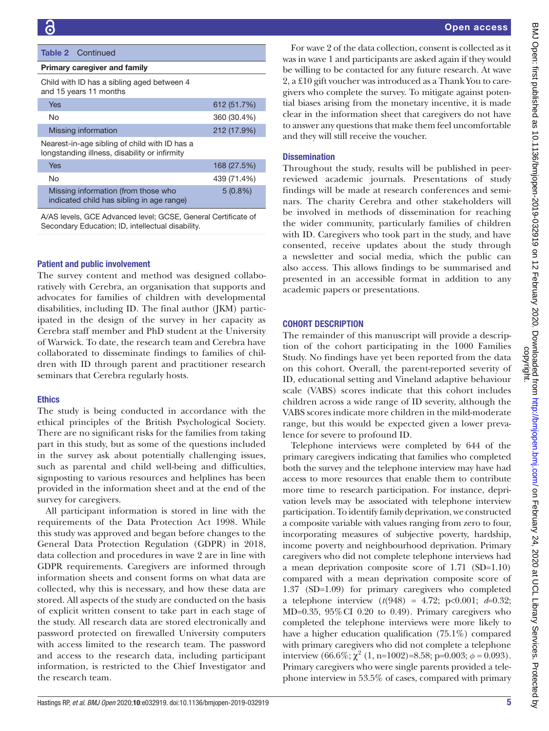| Table 2<br>Continued |
|----------------------|
|----------------------|

|  | <b>Primary caregiver and family</b> |  |  |
|--|-------------------------------------|--|--|
|--|-------------------------------------|--|--|

Child with ID has a sibling aged between 4 and 15 years 11 months

| Yes <sup>-</sup>    | 612 (51.7%) |
|---------------------|-------------|
| No.                 | 360 (30.4%) |
| Missing information | 212 (17.9%) |

Nearest-in-age sibling of child with ID has a

longstanding illness, disability or infirmity

| Yes                                                                              | 168 (27.5%) |
|----------------------------------------------------------------------------------|-------------|
| N٥                                                                               | 439 (71.4%) |
| Missing information (from those who<br>indicated child has sibling in age range) | $5(0.8\%)$  |

A/AS levels, GCE Advanced level; GCSE, General Certificate of Secondary Education; ID, intellectual disability.

#### Patient and public involvement

The survey content and method was designed collaboratively with Cerebra, an organisation that supports and advocates for families of children with developmental disabilities, including ID. The final author (JKM) participated in the design of the survey in her capacity as Cerebra staff member and PhD student at the University of Warwick. To date, the research team and Cerebra have collaborated to disseminate findings to families of children with ID through parent and practitioner research seminars that Cerebra regularly hosts.

#### **Ethics**

The study is being conducted in accordance with the ethical principles of the British Psychological Society. There are no significant risks for the families from taking part in this study, but as some of the questions included in the survey ask about potentially challenging issues, such as parental and child well-being and difficulties, signposting to various resources and helplines has been provided in the information sheet and at the end of the survey for caregivers.

All participant information is stored in line with the requirements of the Data Protection Act 1998. While this study was approved and began before changes to the General Data Protection Regulation (GDPR) in 2018, data collection and procedures in wave 2 are in line with GDPR requirements. Caregivers are informed through information sheets and consent forms on what data are collected, why this is necessary, and how these data are stored. All aspects of the study are conducted on the basis of explicit written consent to take part in each stage of the study. All research data are stored electronically and password protected on firewalled University computers with access limited to the research team. The password and access to the research data, including participant information, is restricted to the Chief Investigator and the research team.

For wave 2 of the data collection, consent is collected as it was in wave 1 and participants are asked again if they would be willing to be contacted for any future research. At wave 2, a £10 gift voucher was introduced as a Thank You to caregivers who complete the survey. To mitigate against potential biases arising from the monetary incentive, it is made clear in the information sheet that caregivers do not have to answer any questions that make them feel uncomfortable and they will still receive the voucher.

#### **Dissemination**

Throughout the study, results will be published in peerreviewed academic journals. Presentations of study findings will be made at research conferences and seminars. The charity Cerebra and other stakeholders will be involved in methods of dissemination for reaching the wider community, particularly families of children with ID. Caregivers who took part in the study, and have consented, receive updates about the study through a newsletter and social media, which the public can also access. This allows findings to be summarised and presented in an accessible format in addition to any academic papers or presentations.

#### Cohort description

The remainder of this manuscript will provide a description of the cohort participating in the 1000 Families Study. No findings have yet been reported from the data on this cohort. Overall, the parent-reported severity of ID, educational setting and Vineland adaptive behaviour scale (VABS) scores indicate that this cohort includes children across a wide range of ID severity, although the VABS scores indicate more children in the mild-moderate range, but this would be expected given a lower prevalence for severe to profound ID.

Telephone interviews were completed by 644 of the primary caregivers indicating that families who completed both the survey and the telephone interview may have had access to more resources that enable them to contribute more time to research participation. For instance, deprivation levels may be associated with telephone interview participation. To identify family deprivation, we constructed a composite variable with values ranging from zero to four, incorporating measures of subjective poverty, hardship, income poverty and neighbourhood deprivation. Primary caregivers who did not complete telephone interviews had a mean deprivation composite score of 1.71 (SD=1.10) compared with a mean deprivation composite score of 1.37 (SD=1.09) for primary caregivers who completed a telephone interview (*t*(948) = 4.72; p<0.001; *d*=0.32; MD=0.35, 95%CI 0.20 to 0.49). Primary caregivers who completed the telephone interviews were more likely to have a higher education qualification (75.1%) compared with primary caregivers who did not complete a telephone interview (66.6%;  $\chi^2$  (1, n=1002)=8.58; p=0.003;  $\phi$  = 0.093). Primary caregivers who were single parents provided a telephone interview in 53.5% of cases, compared with primary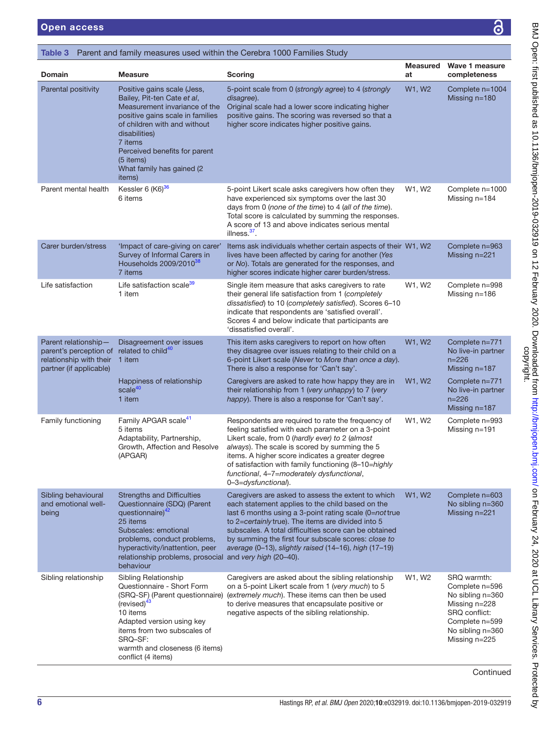#### <span id="page-5-0"></span>Table 3 Parent and family measures used within the Cereb

Domain Measure Measure Scoring

Carer burden/stress 'Impact of care-giving on carer'

Sibling relationship Sibling Relationship

Family functioning Family APGAR scale<sup>[41](#page-9-16)</sup> 5 items

Life satisfaction Life satisfaction scale<sup>39</sup> 1 item

parent's perception of related to child<sup>[40](#page-9-15)</sup>

Parent relationship—

Sibling behavioural and emotional well-

being

relationship with their 1 item partner (if applicable)

Parent mental health Kessler 6  $(K6)^{36}$  $(K6)^{36}$  $(K6)^{36}$ 

Parental positivity Positive gains scale (Jess,

|                                                                                                                                                                                                                                                                                   |                                                                                                                                                                                                                                                                                                                                                                                                 |                | O                                                                                                                                            |
|-----------------------------------------------------------------------------------------------------------------------------------------------------------------------------------------------------------------------------------------------------------------------------------|-------------------------------------------------------------------------------------------------------------------------------------------------------------------------------------------------------------------------------------------------------------------------------------------------------------------------------------------------------------------------------------------------|----------------|----------------------------------------------------------------------------------------------------------------------------------------------|
|                                                                                                                                                                                                                                                                                   | family measures used within the Cerebra 1000 Families Study                                                                                                                                                                                                                                                                                                                                     |                |                                                                                                                                              |
| <b>Measure</b>                                                                                                                                                                                                                                                                    | <b>Scoring</b>                                                                                                                                                                                                                                                                                                                                                                                  | Measured<br>at | Wave 1 measure<br>completeness                                                                                                               |
| Positive gains scale (Jess,<br>Bailey, Pit-ten Cate et al,<br>Measurement invariance of the<br>positive gains scale in families<br>of children with and without<br>disabilities)<br>7 items<br>Perceived benefits for parent<br>(5 items)<br>What family has gained (2)<br>items) | 5-point scale from 0 (strongly agree) to 4 (strongly<br>disagree).<br>Original scale had a lower score indicating higher<br>positive gains. The scoring was reversed so that a<br>higher score indicates higher positive gains.                                                                                                                                                                 | W1, W2         | Complete n=1004<br>Missing n=180                                                                                                             |
| Kessler 6 (K6) <sup>36</sup><br>6 items                                                                                                                                                                                                                                           | 5-point Likert scale asks caregivers how often they<br>have experienced six symptoms over the last 30<br>days from 0 (none of the time) to 4 (all of the time).<br>Total score is calculated by summing the responses.<br>A score of 13 and above indicates serious mental<br>illness. $37$ .                                                                                                   | W1, W2         | Complete n=1000<br>Missing n=184                                                                                                             |
| 'Impact of care-giving on carer'<br>Survey of Informal Carers in<br>Households 2009/2010 <sup>38</sup><br>7 items                                                                                                                                                                 | Items ask individuals whether certain aspects of their W1, W2<br>lives have been affected by caring for another (Yes<br>or No). Totals are generated for the responses, and<br>higher scores indicate higher carer burden/stress.                                                                                                                                                               |                | Complete n=963<br>Missing $n=221$                                                                                                            |
| Life satisfaction scale <sup>39</sup><br>1 item                                                                                                                                                                                                                                   | Single item measure that asks caregivers to rate<br>their general life satisfaction from 1 (completely<br>dissatisfied) to 10 (completely satisfied). Scores 6-10<br>indicate that respondents are 'satisfied overall'.<br>Scores 4 and below indicate that participants are<br>'dissatisfied overall'.                                                                                         | W1, W2         | Complete n=998<br>Missing n=186                                                                                                              |
| Disagreement over issues<br>related to child <sup>40</sup><br>1 item                                                                                                                                                                                                              | This item asks caregivers to report on how often<br>they disagree over issues relating to their child on a<br>6-point Likert scale (Never to More than once a day).<br>There is also a response for 'Can't say'.                                                                                                                                                                                | W1, W2         | Complete n=771<br>No live-in partner<br>$n = 226$<br>Missing n=187                                                                           |
| Happiness of relationship<br>scale <sup>40</sup><br>1 item                                                                                                                                                                                                                        | Caregivers are asked to rate how happy they are in<br>their relationship from 1 (very unhappy) to 7 (very<br>happy). There is also a response for 'Can't say'.                                                                                                                                                                                                                                  | W1, W2         | Complete n=771<br>No live-in partner<br>$n = 226$<br>Missing n=187                                                                           |
| Family APGAR scale <sup>41</sup><br>5 items<br>Adaptability, Partnership,<br>Growth, Affection and Resolve<br>(APGAR)                                                                                                                                                             | Respondents are required to rate the frequency of<br>feeling satisfied with each parameter on a 3-point<br>Likert scale, from 0 (hardly ever) to 2 (almost<br>always). The scale is scored by summing the 5<br>items. A higher score indicates a greater degree<br>of satisfaction with family functioning (8-10=highly<br>functional, 4-7=moderately dysfunctional,<br>0-3=dysfunctional).     | W1, W2         | Complete n=993<br>Missing n=191                                                                                                              |
| <b>Strengths and Difficulties</b><br>Questionnaire (SDQ) (Parent<br>questionnaire) <sup>42</sup><br>25 items<br>Subscales: emotional<br>problems, conduct problems,<br>hyperactivity/inattention, peer<br>relationship problems, prosocial and very high (20-40).<br>behaviour    | Caregivers are asked to assess the extent to which<br>each statement applies to the child based on the<br>last 6 months using a 3-point rating scale (0=not true<br>to 2=certainly true). The items are divided into 5<br>subscales. A total difficulties score can be obtained<br>by summing the first four subscale scores: close to<br>average (0-13), slightly raised (14-16), high (17-19) | W1, W2         | Complete n=603<br>No sibling n=360<br>Missing n=221                                                                                          |
| Sibling Relationship<br>Questionnaire - Short Form<br>(SRQ-SF) (Parent questionnaire)<br>(revised) <sup>43</sup><br>10 items<br>Adapted version using key<br>items from two subscales of<br>SRQ-SF:<br>warmth and closeness (6 items)<br>conflict (4 items)                       | Caregivers are asked about the sibling relationship<br>on a 5-point Likert scale from 1 (very much) to 5<br>(extremely much). These items can then be used<br>to derive measures that encapsulate positive or<br>negative aspects of the sibling relationship.                                                                                                                                  | W1, W2         | SRQ warmth:<br>Complete n=596<br>No sibling n=360<br>Missing $n=228$<br>SRQ conflict:<br>Complete n=599<br>No sibling n=360<br>Missing n=225 |
|                                                                                                                                                                                                                                                                                   |                                                                                                                                                                                                                                                                                                                                                                                                 |                | Continued                                                                                                                                    |
|                                                                                                                                                                                                                                                                                   | Hastings RP, et al. BMJ Open 2020;10:e032919. doi:10.1136/bmjopen-2019-032919                                                                                                                                                                                                                                                                                                                   |                |                                                                                                                                              |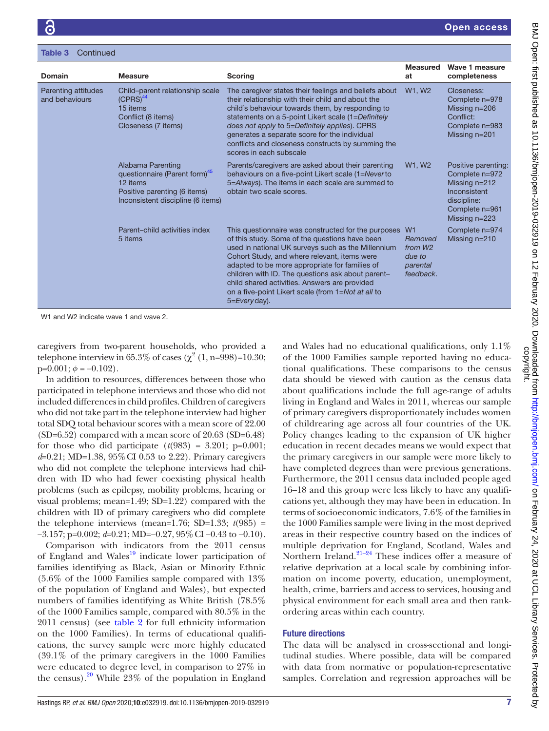#### Table 3 Continued

| Domain                                | <b>Measure</b>                                                                                                                                  | <b>Scoring</b>                                                                                                                                                                                                                                                                                                                                                                                                                                | <b>Measured</b><br>at                                             | Wave 1 measure<br>completeness                                                                                           |
|---------------------------------------|-------------------------------------------------------------------------------------------------------------------------------------------------|-----------------------------------------------------------------------------------------------------------------------------------------------------------------------------------------------------------------------------------------------------------------------------------------------------------------------------------------------------------------------------------------------------------------------------------------------|-------------------------------------------------------------------|--------------------------------------------------------------------------------------------------------------------------|
| Parenting attitudes<br>and behaviours | Child-parent relationship scale<br>$(CPRS)^{44}$<br>15 items<br>Conflict (8 items)<br>Closeness (7 items)                                       | The caregiver states their feelings and beliefs about<br>their relationship with their child and about the<br>child's behaviour towards them, by responding to<br>statements on a 5-point Likert scale (1=Definitely<br>does not apply to 5=Definitely applies). CPRS<br>generates a separate score for the individual<br>conflicts and closeness constructs by summing the<br>scores in each subscale                                        | W1. W2                                                            | Closeness:<br>Complete n=978<br>Missing n=206<br>Conflict:<br>Complete n=983<br>Missing n=201                            |
|                                       | Alabama Parenting<br>questionnaire (Parent form) <sup>45</sup><br>12 items<br>Positive parenting (6 items)<br>Inconsistent discipline (6 items) | Parents/caregivers are asked about their parenting<br>behaviours on a five-point Likert scale (1=Neverto<br>5=Always). The items in each scale are summed to<br>obtain two scale scores.                                                                                                                                                                                                                                                      | W1, W2                                                            | Positive parenting:<br>Complete n=972<br>Missing n=212<br>Inconsistent<br>discipline:<br>Complete n=961<br>Missing n=223 |
|                                       | Parent-child activities index<br>5 items                                                                                                        | This questionnaire was constructed for the purposes W1<br>of this study. Some of the questions have been<br>used in national UK surveys such as the Millennium<br>Cohort Study, and where relevant, items were<br>adapted to be more appropriate for families of<br>children with ID. The questions ask about parent-<br>child shared activities. Answers are provided<br>on a five-point Likert scale (from 1=Not at all to<br>5=Every day). | Removed<br>from W <sub>2</sub><br>due to<br>parental<br>feedback. | Complete n=974<br>Missing n=210                                                                                          |
| W1 and W2 indicate wave 1 and wave 2. |                                                                                                                                                 |                                                                                                                                                                                                                                                                                                                                                                                                                                               |                                                                   |                                                                                                                          |

caregivers from two-parent households, who provided a telephone interview in 65.3% of cases  $(\chi^2(1, n=998)=10.30;$  $p=0.001; \phi = -0.102$ ).

In addition to resources, differences between those who participated in telephone interviews and those who did not included differences in child profiles. Children of caregivers who did not take part in the telephone interview had higher total SDQ total behaviour scores with a mean score of 22.00 (SD=6.52) compared with a mean score of 20.63 (SD=6.48) for those who did participate  $(t(983) = 3.201; p=0.001;$ *d*=0.21; MD=1.38, 95%CI 0.53 to 2.22). Primary caregivers who did not complete the telephone interviews had children with ID who had fewer coexisting physical health problems (such as epilepsy, mobility problems, hearing or visual problems; mean=1.49; SD=1.22) compared with the children with ID of primary caregivers who did complete the telephone interviews (mean=1.76; SD=1.33;  $t(985)$  = −3.157; p=0.002; *d*=0.21; MD=−0.27, 95%CI −0.43 to −0.10).

Comparison with indicators from the 2011 census of England and Wales $^{19}$  indicate lower participation of families identifying as Black, Asian or Minority Ethnic (5.6% of the 1000 Families sample compared with 13% of the population of England and Wales), but expected numbers of families identifying as White British (78.5% of the 1000 Families sample, compared with 80.5% in the 2011 census) (see [table](#page-3-0) 2 for full ethnicity information on the 1000 Families). In terms of educational qualifications, the survey sample were more highly educated (39.1% of the primary caregivers in the 1000 Families were educated to degree level, in comparison to 27% in the census).<sup>20</sup> While 23% of the population in England

and Wales had no educational qualifications, only 1.1% of the 1000 Families sample reported having no educational qualifications. These comparisons to the census data should be viewed with caution as the census data about qualifications include the full age-range of adults living in England and Wales in 2011, whereas our sample of primary caregivers disproportionately includes women of childrearing age across all four countries of the UK. Policy changes leading to the expansion of UK higher education in recent decades means we would expect that the primary caregivers in our sample were more likely to have completed degrees than were previous generations. Furthermore, the 2011 census data included people aged 16–18 and this group were less likely to have any qualifications yet, although they may have been in education. In terms of socioeconomic indicators, 7.6% of the families in the 1000 Families sample were living in the most deprived areas in their respective country based on the indices of multiple deprivation for England, Scotland, Wales and Northern Ireland.<sup>21-24</sup> These indices offer a measure of relative deprivation at a local scale by combining information on income poverty, education, unemployment, health, crime, barriers and access to services, housing and physical environment for each small area and then rankordering areas within each country.

#### Future directions

The data will be analysed in cross-sectional and longitudinal studies. Where possible, data will be compared with data from normative or population-representative samples. Correlation and regression approaches will be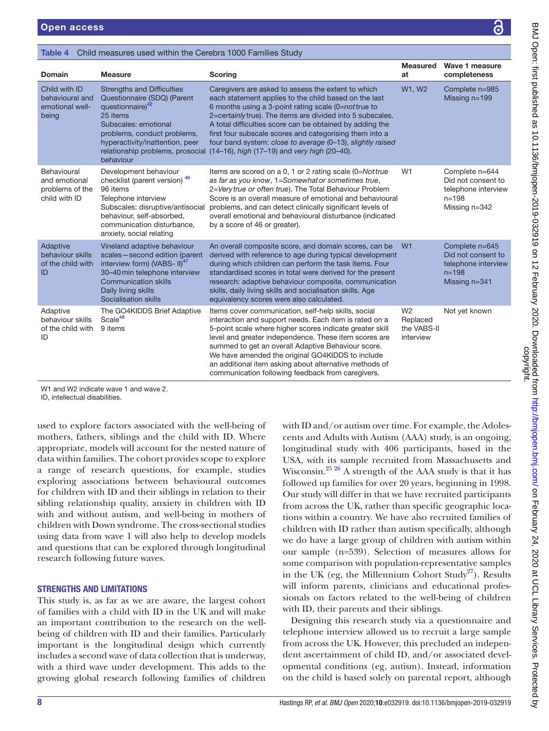| <b>Domain</b>                                                    | <b>Measure</b>                                                                                                                                                                                                       | <b>Scoring</b>                                                                                                                                                                                                                                                                                                                                                                                                                                                                                          | <b>Measured</b><br>at                                  | Wave 1 measure<br>completeness                                                            |
|------------------------------------------------------------------|----------------------------------------------------------------------------------------------------------------------------------------------------------------------------------------------------------------------|---------------------------------------------------------------------------------------------------------------------------------------------------------------------------------------------------------------------------------------------------------------------------------------------------------------------------------------------------------------------------------------------------------------------------------------------------------------------------------------------------------|--------------------------------------------------------|-------------------------------------------------------------------------------------------|
| Child with ID<br>behavioural and<br>emotional well-<br>being     | <b>Strengths and Difficulties</b><br>Questionnaire (SDQ) (Parent<br>questionnaire) <sup>42</sup><br>25 items<br>Subscales: emotional<br>problems, conduct problems,<br>hyperactivity/inattention, peer<br>behaviour  | Caregivers are asked to assess the extent to which<br>each statement applies to the child based on the last<br>6 months using a 3-point rating scale (0=not true to<br>2=certainly true). The items are divided into 5 subscales.<br>A total difficulties score can be obtained by adding the<br>first four subscale scores and categorising them into a<br>four band system: close to average (0-13), slightly raised<br>relationship problems, prosocial (14–16), high (17–19) and very high (20–40). | W1, W2                                                 | Complete n=985<br>Missing n=199                                                           |
| Behavioural<br>and emotional<br>problems of the<br>child with ID | Development behaviour<br>checklist (parent version) 46<br>96 items<br>Telephone interview<br>Subscales: disruptive/antisocial<br>behaviour, self-absorbed,<br>communication disturbance.<br>anxiety, social relating | Items are scored on a 0, 1 or 2 rating scale (0=Not true<br>as far as you know, 1=Somewhat or sometimes true,<br>2=Very true or often true). The Total Behaviour Problem<br>Score is an overall measure of emotional and behavioural<br>problems, and can detect clinically significant levels of<br>overall emotional and behavioural disturbance (indicated<br>by a score of 46 or greater).                                                                                                          | W <sub>1</sub>                                         | Complete n=644<br>Did not consent to<br>telephone interview<br>$n = 198$<br>Missing n=342 |
| Adaptive<br>behaviour skills<br>of the child with<br>ID          | Vineland adaptive behaviour<br>scales-second edition (parent<br>interview form) (VABS- $II)^{47}$<br>30-40 min telephone interview<br><b>Communication skills</b><br>Daily living skills<br>Socialisation skills     | An overall composite score, and domain scores, can be<br>derived with reference to age during typical development<br>during which children can perform the task items. Four<br>standardised scores in total were derived for the present<br>research: adaptive behaviour composite, communication<br>skills, daily living skills and socialisation skills. Age<br>equivalency scores were also calculated.                                                                                              | W <sub>1</sub>                                         | Complete n=645<br>Did not consent to<br>telephone interview<br>$n = 198$<br>Missing n=341 |
| Adaptive<br>behaviour skills<br>of the child with<br>ID          | The GO4KIDDS Brief Adaptive<br>Scale <sup>48</sup><br>9 items                                                                                                                                                        | Items cover communication, self-help skills, social<br>interaction and support needs. Each item is rated on a<br>5-point scale where higher scores indicate greater skill<br>level and greater independence. These item scores are<br>summed to get an overall Adaptive Behaviour score.<br>We have amended the original GO4KIDDS to include<br>an additional item asking about alternative methods of<br>communication following feedback from caregivers.                                             | W <sub>2</sub><br>Replaced<br>the VABS-II<br>interview | Not yet known                                                                             |
|                                                                  | W1 and W2 indicate wave 1 and wave 2.                                                                                                                                                                                |                                                                                                                                                                                                                                                                                                                                                                                                                                                                                                         |                                                        |                                                                                           |

ID, intellectual disabilities.

used to explore factors associated with the well-being of mothers, fathers, siblings and the child with ID. Where appropriate, models will account for the nested nature of data within families. The cohort provides scope to explore a range of research questions, for example, studies exploring associations between behavioural outcomes for children with ID and their siblings in relation to their sibling relationship quality, anxiety in children with ID with and without autism, and well-being in mothers of children with Down syndrome. The cross-sectional studies using data from wave 1 will also help to develop models and questions that can be explored through longitudinal research following future waves.

#### Strengths and limitations

This study is, as far as we are aware, the largest cohort of families with a child with ID in the UK and will make an important contribution to the research on the wellbeing of children with ID and their families. Particularly important is the longitudinal design which currently includes a second wave of data collection that is underway, with a third wave under development. This adds to the growing global research following families of children

with ID and/or autism over time. For example, the Adolescents and Adults with Autism (AAA) study, is an ongoing, longitudinal study with 406 participants, based in the USA, with its sample recruited from Massachusetts and Wisconsin[.25 26](#page-9-27) A strength of the AAA study is that it has followed up families for over 20 years, beginning in 1998. Our study will differ in that we have recruited participants from across the UK, rather than specific geographic locations within a country. We have also recruited families of children with ID rather than autism specifically, although we do have a large group of children with autism within our sample (n=539). Selection of measures allows for some comparison with population-representative samples in the UK (eg, the Millennium Cohort Study<sup>27</sup>). Results will inform parents, clinicians and educational professionals on factors related to the well-being of children with ID, their parents and their siblings.

Designing this research study via a questionnaire and telephone interview allowed us to recruit a large sample from across the UK. However, this precluded an independent ascertainment of child ID, and/or associated developmental conditions (eg, autism). Instead, information on the child is based solely on parental report, although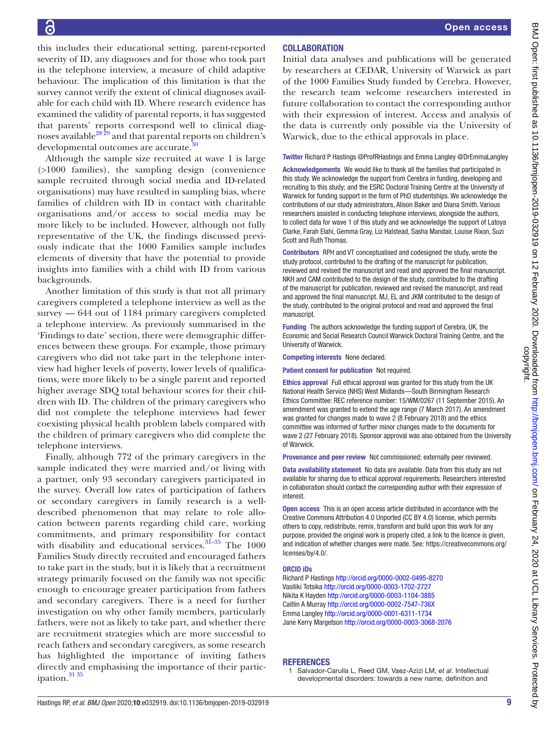this includes their educational setting, parent-reported severity of ID, any diagnoses and for those who took part in the telephone interview, a measure of child adaptive behaviour. The implication of this limitation is that the survey cannot verify the extent of clinical diagnoses available for each child with ID. Where research evidence has examined the validity of parental reports, it has suggested that parents' reports correspond well to clinical diagnoses available<sup>28</sup> 29 and that parental reports on children's developmental outcomes are accurate.<sup>3</sup>

Although the sample size recruited at wave 1 is large (>1000 families), the sampling design (convenience sample recruited through social media and ID-related organisations) may have resulted in sampling bias, where families of children with ID in contact with charitable organisations and/or access to social media may be more likely to be included. However, although not fully representative of the UK, the findings discussed previously indicate that the 1000 Families sample includes elements of diversity that have the potential to provide insights into families with a child with ID from various backgrounds.

Another limitation of this study is that not all primary caregivers completed a telephone interview as well as the survey — 644 out of 1184 primary caregivers completed a telephone interview. As previously summarised in the 'Findings to date' section, there were demographic differences between these groups. For example, those primary caregivers who did not take part in the telephone interview had higher levels of poverty, lower levels of qualifications, were more likely to be a single parent and reported higher average SDQ total behaviour scores for their children with ID. The children of the primary caregivers who did not complete the telephone interviews had fewer coexisting physical health problem labels compared with the children of primary caregivers who did complete the telephone interviews.

Finally, although 772 of the primary caregivers in the sample indicated they were married and/or living with a partner, only 93 secondary caregivers participated in the survey. Overall low rates of participation of fathers or secondary caregivers in family research is a welldescribed phenomenon that may relate to role allocation between parents regarding child care, working commitments, and primary responsibility for contact with disability and educational services. $31-35$  The 1000 Families Study directly recruited and encouraged fathers to take part in the study, but it is likely that a recruitment strategy primarily focused on the family was not specific enough to encourage greater participation from fathers and secondary caregivers. There is a need for further investigation on why other family members, particularly fathers, were not as likely to take part, and whether there are recruitment strategies which are more successful to reach fathers and secondary caregivers, as some research has highlighted the importance of inviting fathers directly and emphasising the importance of their participation.<sup>31</sup> 35

#### **COLLABORATION**

Initial data analyses and publications will be generated by researchers at CEDAR, University of Warwick as part of the 1000 Families Study funded by Cerebra. However, the research team welcome researchers interested in future collaboration to contact the corresponding author with their expression of interest. Access and analysis of the data is currently only possible via the University of Warwick, due to the ethical approvals in place.

Twitter Richard P Hastings [@ProfRHastings](https://twitter.com/ProfRHastings) and Emma Langley [@DrEmmaLangley](https://twitter.com/DrEmmaLangley)

Acknowledgements We would like to thank all the families that participated in this study. We acknowledge the support from Cerebra in funding, developing and recruiting to this study; and the ESRC Doctoral Training Centre at the University of Warwick for funding support in the form of PhD studentships. We acknowledge the contributions of our study administrators, Alison Baker and Diana Smith. Various researchers assisted in conducting telephone interviews, alongside the authors, to collect data for wave 1 of this study and we acknowledge the support of Latoya Clarke, Farah Elahi, Gemma Gray, Liz Halstead, Sasha Mandair, Louise Rixon, Suzi Scott and Ruth Thomas.

Contributors RPH and VT conceptualised and codesigned the study, wrote the study protocol, contributed to the drafting of the manuscript for publication, reviewed and revised the manuscript and read and approved the final manuscript. NKH and CAM contributed to the design of the study, contributed to the drafting of the manuscript for publication, reviewed and revised the manuscript, and read and approved the final manuscript. MJ, EL and JKM contributed to the design of the study, contributed to the original protocol and read and approved the final manuscript.

Funding The authors acknowledge the funding support of Cerebra, UK, the Economic and Social Research Council Warwick Doctoral Training Centre, and the University of Warwick.

Competing interests None declared.

Patient consent for publication Not required.

Ethics approval Full ethical approval was granted for this study from the UK National Health Service (NHS) West Midlands—South Birmingham Research Ethics Committee: REC reference number: 15/WM/0267 (11 September 2015). An amendment was granted to extend the age range (7 March 2017). An amendment was granted for changes made to wave 2 (8 February 2018) and the ethics committee was informed of further minor changes made to the documents for wave 2 (27 February 2018). Sponsor approval was also obtained from the University of Warwick.

Provenance and peer review Not commissioned; externally peer reviewed.

Data availability statement No data are available. Data from this study are not available for sharing due to ethical approval requirements. Researchers interested in collaboration should contact the corresponding author with their expression of interest.

Open access This is an open access article distributed in accordance with the Creative Commons Attribution 4.0 Unported (CC BY 4.0) license, which permits others to copy, redistribute, remix, transform and build upon this work for any purpose, provided the original work is properly cited, a link to the licence is given, and indication of whether changes were made. See: [https://creativecommons.org/](https://creativecommons.org/licenses/by/4.0/) [licenses/by/4.0/](https://creativecommons.org/licenses/by/4.0/).

#### ORCID iDs

Richard P Hastings<http://orcid.org/0000-0002-0495-8270> Vasiliki Totsika <http://orcid.org/0000-0003-1702-2727> Nikita K Hayden <http://orcid.org/0000-0003-1104-3885> Caitlin A Murray <http://orcid.org/0000-0002-7547-736X> Emma Langley<http://orcid.org/0000-0001-6311-1734> Jane Kerry Margetson <http://orcid.org/0000-0003-3068-2076>

#### **REFERENCES**

<span id="page-8-0"></span>1 Salvador-Carulla L, Reed GM, Vaez-Azizi LM, *et al*. Intellectual developmental disorders: towards a new name, definition and